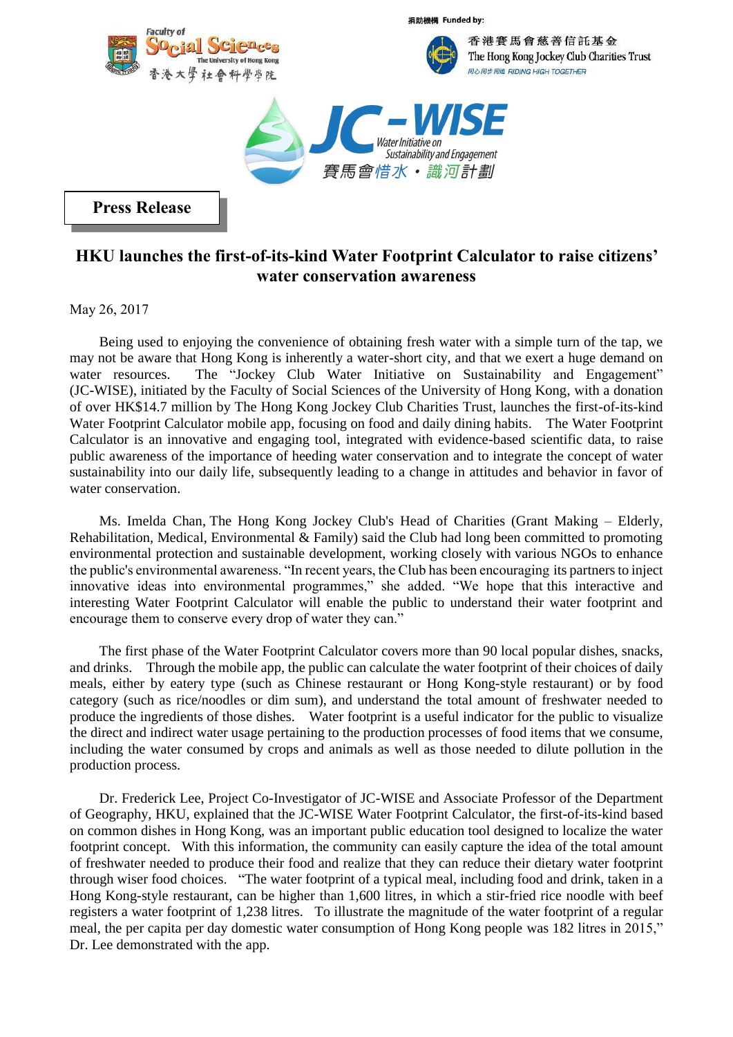

捐助機構 Funded by:



香港賽馬會慈善信託基金 The Hong Kong Jockey Club Charities Trust 同心同步同進 RIDING HIGH TOGETHER



**Press Release**

## **HKU launches the first-of-its-kind Water Footprint Calculator to raise citizens' water conservation awareness**

May 26, 2017

Being used to enjoying the convenience of obtaining fresh water with a simple turn of the tap, we may not be aware that Hong Kong is inherently a water-short city, and that we exert a huge demand on water resources. The "Jockey Club Water Initiative on Sustainability and Engagement" (JC-WISE), initiated by the Faculty of Social Sciences of the University of Hong Kong, with a donation of over HK\$14.7 million by The Hong Kong Jockey Club Charities Trust, launches the first-of-its-kind Water Footprint Calculator mobile app, focusing on food and daily dining habits. The Water Footprint Calculator is an innovative and engaging tool, integrated with evidence-based scientific data, to raise public awareness of the importance of heeding water conservation and to integrate the concept of water sustainability into our daily life, subsequently leading to a change in attitudes and behavior in favor of water conservation.

Ms. Imelda Chan, The Hong Kong Jockey Club's Head of Charities (Grant Making – Elderly, Rehabilitation, Medical, Environmental & Family) said the Club had long been committed to promoting environmental protection and sustainable development, working closely with various NGOs to enhance the public's environmental awareness. "In recent years, the Club has been encouraging its partners to inject innovative ideas into environmental programmes," she added. "We hope that this interactive and interesting Water Footprint Calculator will enable the public to understand their water footprint and encourage them to conserve every drop of water they can."

The first phase of the Water Footprint Calculator covers more than 90 local popular dishes, snacks, and drinks. Through the mobile app, the public can calculate the water footprint of their choices of daily meals, either by eatery type (such as Chinese restaurant or Hong Kong-style restaurant) or by food category (such as rice/noodles or dim sum), and understand the total amount of freshwater needed to produce the ingredients of those dishes. Water footprint is a useful indicator for the public to visualize the direct and indirect water usage pertaining to the production processes of food items that we consume, including the water consumed by crops and animals as well as those needed to dilute pollution in the production process.

Dr. Frederick Lee, Project Co-Investigator of JC-WISE and Associate Professor of the Department of Geography, HKU, explained that the JC-WISE Water Footprint Calculator, the first-of-its-kind based on common dishes in Hong Kong, was an important public education tool designed to localize the water footprint concept. With this information, the community can easily capture the idea of the total amount of freshwater needed to produce their food and realize that they can reduce their dietary water footprint through wiser food choices. "The water footprint of a typical meal, including food and drink, taken in a Hong Kong-style restaurant, can be higher than 1,600 litres, in which a stir-fried rice noodle with beef registers a water footprint of 1,238 litres. To illustrate the magnitude of the water footprint of a regular meal, the per capita per day domestic water consumption of Hong Kong people was 182 litres in 2015," Dr. Lee demonstrated with the app.